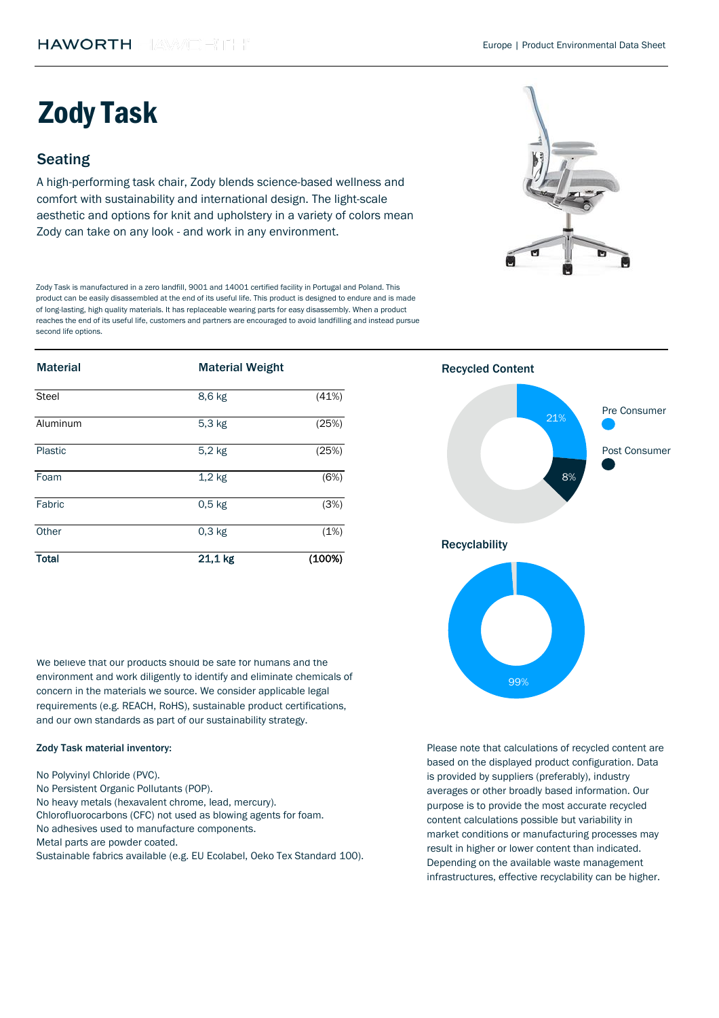| <b>Material</b> | <b>Material Weight</b> |        | <b>Recycled Content</b> |
|-----------------|------------------------|--------|-------------------------|
| <b>Steel</b>    | 8,6 kg                 | (41%)  | Pre Consumer            |
| Aluminum        | $5,3$ kg               | (25%)  | 21%                     |
| Plastic         | $5,2$ kg               | (25%)  | Post Consumer           |
| Foam            | $1,2$ kg               | (6%)   | 8%                      |
| Fabric          | $0,5$ kg               | (3%)   |                         |
| Other           | $0,3$ kg               | (1%)   |                         |
| <b>Total</b>    | 21,1 kg                | (100%) | <b>Recyclability</b>    |

We believe that our products should be safe for humans and the environment and work diligently to identify and eliminate chemicals of concern in the materials we source. We consider applicable legal requirements (e.g. REACH, RoHS), sustainable product certifications, and our own standards as part of our sustainability strategy.

A high-performing task chair, Zody blends science-based wellness and comfort with sustainability and international design. The light-scale aesthetic and options for knit and upholstery in a variety of colors mean Zody can take on any look - and work in any environment.

## Seating

# Zody Task

### Zody Task material inventory:

Zody Task is manufactured in a zero landfill, 9001 and 14001 certified facility in Portugal and Poland. This product can be easily disassembled at the end of its useful life. This product is designed to endure and is made of long-lasting, high quality materials. It has replaceable wearing parts for easy disassembly. When a product reaches the end of its useful life, customers and partners are encouraged to avoid landfilling and instead pursue second life options.



Metal parts are powder coated.

Sustainable fabrics available (e.g. EU Ecolabel, Oeko Tex Standard 100).

No adhesives used to manufacture components. No Polyvinyl Chloride (PVC). No Persistent Organic Pollutants (POP). No heavy metals (hexavalent chrome, lead, mercury). Chlorofluorocarbons (CFC) not used as blowing agents for foam.



Please note that calculations of recycled content are based on the displayed product configuration. Data is provided by suppliers (preferably), industry averages or other broadly based information. Our purpose is to provide the most accurate recycled content calculations possible but variability in market conditions or manufacturing processes may result in higher or lower content than indicated. Depending on the available waste management infrastructures, effective recyclability can be higher.